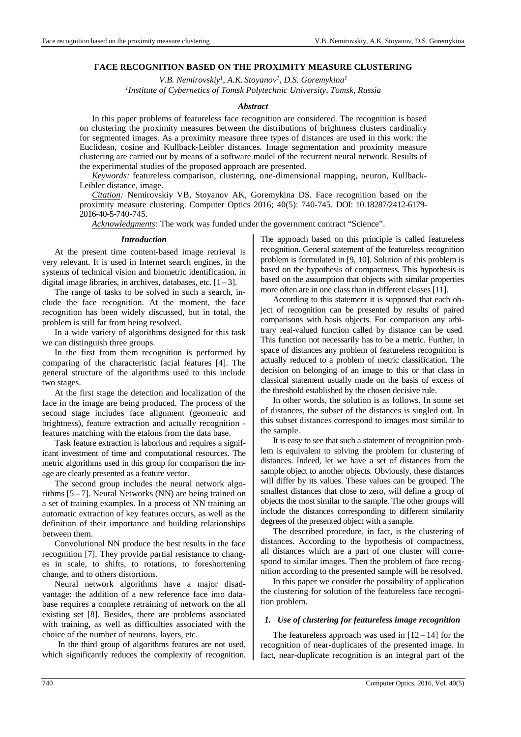# **FACE RECOGNITION BASED ON THE PROXIMITY MEASURE CLUSTERING**

*V.B. Nemirovskiy<sup>1</sup> , A.K. Stoyanov<sup>1</sup> , D.S. Goremykina<sup>1</sup> 1 Institute of Cybernetics of Tomsk Polytechnic University, Tomsk, Russia* 

# *Abstract*

In this paper problems of featureless face recognition are considered. The recognition is based on clustering the proximity measures between the distributions of brightness clusters cardinality for segmented images. As a proximity measure three types of distances are used in this work: the Euclidean, cosine and Kullback-Leibler distances. Image segmentation and proximity measure clustering are carried out by means of a software model of the recurrent neural network. Results of the experimental studies of the proposed approach are presented.

*Keywords:* featureless comparison, clustering, one-dimensional mapping, neuron, Kullback-Leibler distance, image.

*Citation:* Nemirovskiy VB, Stoyanov AK, Goremykina DS. Face recognition based on the proximity measure clustering. Computer Optics 2016; 40(5): 740-745. DOI: 10.18287/2412-6179- 2016-40-5-740-745.

*Acknowledgments:* The work was funded under the government contract "Science".

## *Introduction*

At the present time content-based image retrieval is very relevant. It is used in Internet search engines, in the systems of technical vision and biometric identification, in digital image libraries, in archives, databases, etc.  $[1-3]$ .

The range of tasks to be solved in such a search, include the face recognition. At the moment, the face recognition has been widely discussed, but in total, the problem is still far from being resolved.

In a wide variety of algorithms designed for this task we can distinguish three groups.

In the first from them recognition is performed by comparing of the characteristic facial features [4]. The general structure of the algorithms used to this include two stages.

At the first stage the detection and localization of the face in the image are being produced. The process of the second stage includes face alignment (geometric and brightness), feature extraction and actually recognition features matching with the etalons from the data base.

Task feature extraction is laborious and requires a significant investment of time and computational resources. The metric algorithms used in this group for comparison the image are clearly presented as a feature vector.

The second group includes the neural network algorithms  $[5 - 7]$ . Neural Networks (NN) are being trained on a set of training examples. In a process of NN training an automatic extraction of key features occurs, as well as the definition of their importance and building relationships between them.

Convolutional NN produce the best results in the face recognition [7]. They provide partial resistance to changes in scale, to shifts, to rotations, to foreshortening change, and to others distortions.

Neural network algorithms have a major disadvantage: the addition of a new reference face into database requires a complete retraining of network on the all existing set [8]. Besides, there are problems associated with training, as well as difficulties associated with the choice of the number of neurons, layers, etc.

In the third group of algorithms features are not used, which significantly reduces the complexity of recognition. The approach based on this principle is called featureless recognition. General statement of the featureless recognition problem is formulated in [9, 10]. Solution of this problem is based on the hypothesis of compactness. This hypothesis is based on the assumption that objects with similar properties more often are in one class than in different classes [11].

According to this statement it is supposed that each object of recognition can be presented by results of paired comparisons with basis objects. For comparison any arbitrary real-valued function called by distance can be used. This function not necessarily has to be a metric. Further, in space of distances any problem of featureless recognition is actually reduced to a problem of metric classification. The decision on belonging of an image to this or that class in classical statement usually made on the basis of excess of the threshold established by the chosen decisive rule.

In other words, the solution is as follows. In some set of distances, the subset of the distances is singled out. In this subset distances correspond to images most similar to the sample.

It is easy to see that such a statement of recognition problem is equivalent to solving the problem for clustering of distances. Indeed, let we have a set of distances from the sample object to another objects. Obviously, these distances will differ by its values. These values can be grouped. The smallest distances that close to zero, will define a group of objects the most similar to the sample. The other groups will include the distances corresponding to different similarity degrees of the presented object with a sample.

The described procedure, in fact, is the clustering of distances. According to the hypothesis of compactness, all distances which are a part of one cluster will correspond to similar images. Then the problem of face recognition according to the presented sample will be resolved.

In this paper we consider the possibility of application the clustering for solution of the featureless face recognition problem.

## *1. Use of clustering for featureless image recognition*

The featureless approach was used in  $[12 - 14]$  for the recognition of near-duplicates of the presented image. In fact, near-duplicate recognition is an integral part of the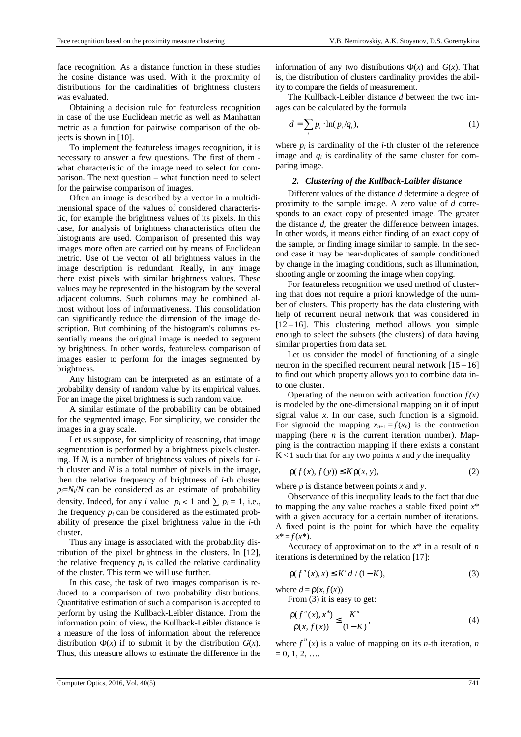face recognition. As a distance function in these studies the cosine distance was used. With it the proximity of distributions for the cardinalities of brightness clusters was evaluated.

Obtaining a decision rule for featureless recognition in case of the use Euclidean metric as well as Manhattan metric as a function for pairwise comparison of the objects is shown in [10].

To implement the featureless images recognition, it is necessary to answer a few questions. The first of them what characteristic of the image need to select for comparison. The next question – what function need to select for the pairwise comparison of images.

Often an image is described by a vector in a multidimensional space of the values of considered characteristic, for example the brightness values of its pixels. In this case, for analysis of brightness characteristics often the histograms are used. Comparison of presented this way images more often are carried out by means of Euclidean metric. Use of the vector of all brightness values in the image description is redundant. Really, in any image there exist pixels with similar brightness values. These values may be represented in the histogram by the several adjacent columns. Such columns may be combined almost without loss of informativeness. This consolidation can significantly reduce the dimension of the image description. But combining of the histogram's columns essentially means the original image is needed to segment by brightness. In other words, featureless comparison of images easier to perform for the images segmented by brightness.

Any histogram can be interpreted as an estimate of a probability density of random value by its empirical values. For an image the pixel brightness is such random value.

A similar estimate of the probability can be obtained for the segmented image. For simplicity, we consider the images in a gray scale.

Let us suppose, for simplicity of reasoning, that image segmentation is performed by a brightness pixels clustering. If *Ni* is a number of brightness values of pixels for *i*th cluster and  $N$  is a total number of pixels in the image, then the relative frequency of brightness of *i*-th cluster  $p_i = N_i/N$  can be considered as an estimate of probability density. Indeed, for any *i* value  $p_i < 1$  and  $\sum p_i = 1$ , i.e., the frequency  $p_i$  can be considered as the estimated probability of presence the pixel brightness value in the *i*-th cluster.

Thus any image is associated with the probability distribution of the pixel brightness in the clusters. In [12], the relative frequency  $p_i$  is called the relative cardinality of the cluster. This term we will use further.

In this case, the task of two images comparison is reduced to a comparison of two probability distributions. Quantitative estimation of such a comparison is accepted to perform by using the Kullback-Leibler distance. From the information point of view, the Kullback-Leibler distance is a measure of the loss of information about the reference distribution  $\Phi(x)$  if to submit it by the distribution  $G(x)$ . Thus, this measure allows to estimate the difference in the

information of any two distributions  $\Phi(x)$  and  $G(x)$ . That is, the distribution of clusters cardinality provides the ability to compare the fields of measurement.

The Kullback-Leibler distance *d* between the two images can be calculated by the formula

$$
d = \sum_{i} p_i \cdot \ln(p_i/q_i), \tag{1}
$$

where  $p_i$  is cardinality of the *i*-th cluster of the reference image and  $q_i$  is cardinality of the same cluster for comparing image.

## *2. Clustering of the Kullback-Laibler distance*

Different values of the distance *d* determine a degree of proximity to the sample image. A zero value of *d* corresponds to an exact copy of presented image. The greater the distance *d*, the greater the difference between images. In other words, it means either finding of an exact copy of the sample, or finding image similar to sample. In the second case it may be near-duplicates of sample conditioned by change in the imaging conditions, such as illumination, shooting angle or zooming the image when copying.

For featureless recognition we used method of clustering that does not require a priori knowledge of the number of clusters. This property has the data clustering with help of recurrent neural network that was considered in  $[12 - 16]$ . This clustering method allows you simple enough to select the subsets (the clusters) of data having similar properties from data set.

Let us consider the model of functioning of a single neuron in the specified recurrent neural network  $[15 - 16]$ to find out which property allows you to combine data into one cluster.

Operating of the neuron with activation function  $f(x)$ is modeled by the one-dimensional mapping on it of input signal value *x*. In our case, such function is a sigmoid. For sigmoid the mapping  $x_{n+1} = f(x_n)$  is the contraction mapping (here  $n$  is the current iteration number). Mapping is the contraction mapping if there exists a constant  $K < 1$  such that for any two points *x* and *y* the inequality

$$
\rho(f(x), f(y)) \le K\rho(x, y),\tag{2}
$$

where ρ is distance between points *x* and *y*.

Observance of this inequality leads to the fact that due to mapping the any value reaches a stable fixed point *x*\* with a given accuracy for a certain number of iterations. A fixed point is the point for which have the equality  $x^* = f(x^*)$ .

Accuracy of approximation to the *x*\* in a result of *n* iterations is determined by the relation [17]:

$$
\rho(f^{n}(x), x) \le K^{n}d / (1 - K),
$$
\n(3)

where  $d = \rho(x, f(x))$ 

From (3) it is easy to get:

$$
\frac{\rho(f^n(x), x^*)}{\rho(x, f(x))} \le \frac{K^n}{(1 - K)},
$$
\n(4)

where  $f^{n}(x)$  is a value of mapping on its *n*-th iteration, *n*  $= 0, 1, 2, \ldots$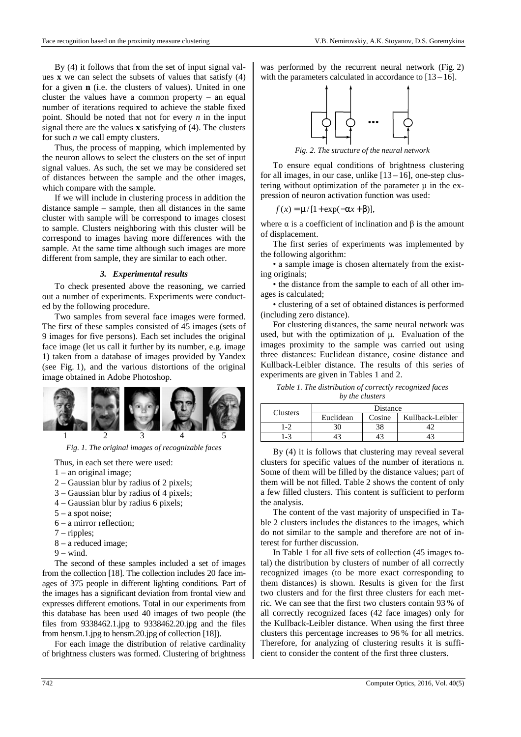By (4) it follows that from the set of input signal values **x** we can select the subsets of values that satisfy (4) for a given **n** (i.e. the clusters of values). United in one cluster the values have a common property – an equal number of iterations required to achieve the stable fixed point. Should be noted that not for every *n* in the input signal there are the values **x** satisfying of (4). The clusters for such *n* we call empty clusters.

Thus, the process of mapping, which implemented by the neuron allows to select the clusters on the set of input signal values. As such, the set we may be considered set of distances between the sample and the other images, which compare with the sample.

If we will include in clustering process in addition the distance sample – sample, then all distances in the same cluster with sample will be correspond to images closest to sample. Clusters neighboring with this cluster will be correspond to images having more differences with the sample. At the same time although such images are more different from sample, they are similar to each other.

## *3. Experimental results*

To check presented above the reasoning, we carried out a number of experiments. Experiments were conducted by the following procedure.

Two samples from several face images were formed. The first of these samples consisted of 45 images (sets of 9 images for five persons). Each set includes the original face image (let us call it further by its number, e.g. image 1) taken from a database of images provided by Yandex (see Fig. 1), and the various distortions of the original image obtained in Adobe Photoshop.



*Fig. 1. The original images of recognizable faces* 

Thus, in each set there were used:

- 1 an original image;
- 2 Gaussian blur by radius of 2 pixels;
- 3 Gaussian blur by radius of 4 pixels;
- 4 Gaussian blur by radius 6 pixels;
- 5 a spot noise;
- 6 a mirror reflection;
- 7 ripples;
- 8 a reduced image;
- $9 wind$ .

The second of these samples included a set of images from the collection [18]. The collection includes 20 face images of 375 people in different lighting conditions. Part of the images has a significant deviation from frontal view and expresses different emotions. Total in our experiments from this database has been used 40 images of two people (the files from 9338462.1.jpg to 9338462.20.jpg and the files from hensm.1.jpg to hensm.20.jpg of collection [18]).

For each image the distribution of relative cardinality of brightness clusters was formed. Clustering of brightness was performed by the recurrent neural network (Fig. 2) with the parameters calculated in accordance to  $[13 - 16]$ .



*Fig. 2. The structure of the neural network*

To ensure equal conditions of brightness clustering for all images, in our case, unlike  $[13 - 16]$ , one-step clustering without optimization of the parameter  $\mu$  in the expression of neuron activation function was used:

$$
f(x) = \mu / [1 + \exp(-\alpha x + \beta)],
$$

where  $\alpha$  is a coefficient of inclination and  $\beta$  is the amount of displacement.

The first series of experiments was implemented by the following algorithm:

• a sample image is chosen alternately from the existing originals;

• the distance from the sample to each of all other images is calculated;

• clustering of a set of obtained distances is performed (including zero distance).

For clustering distances, the same neural network was used, but with the optimization of µ. Evaluation of the images proximity to the sample was carried out using three distances: Euclidean distance, cosine distance and Kullback-Leibler distance. The results of this series of experiments are given in Tables 1 and 2.

*Table 1. The distribution of correctly recognized faces by the clusters* 

| Clusters | Distance  |        |                  |  |
|----------|-----------|--------|------------------|--|
|          | Euclidean | Cosine | Kullback-Leibler |  |
| 1-2      |           |        |                  |  |
| $-3$     |           |        |                  |  |

By (4) it is follows that clustering may reveal several clusters for specific values of the number of iterations n. Some of them will be filled by the distance values; part of them will be not filled. Table 2 shows the content of only a few filled clusters. This content is sufficient to perform the analysis.

The content of the vast majority of unspecified in Table 2 clusters includes the distances to the images, which do not similar to the sample and therefore are not of interest for further discussion.

In Table 1 for all five sets of collection (45 images total) the distribution by clusters of number of all correctly recognized images (to be more exact corresponding to them distances) is shown. Results is given for the first two clusters and for the first three clusters for each metric. We can see that the first two clusters contain 93 % of all correctly recognized faces (42 face images) only for the Kullback-Leibler distance. When using the first three clusters this percentage increases to 96 % for all metrics. Therefore, for analyzing of clustering results it is sufficient to consider the content of the first three clusters.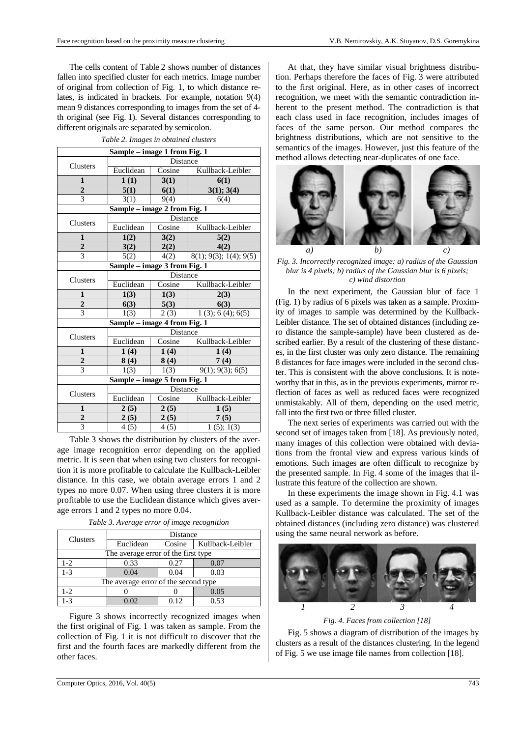The cells content of Table 2 shows number of distances fallen into specified cluster for each metrics. Image number of original from collection of Fig. 1, to which distance relates, is indicated in brackets. For example, notation 9(4) mean 9 distances corresponding to images from the set of 4 th original (see Fig. 1). Several distances corresponding to different originals are separated by semicolon.

| Sample - image 1 from Fig. 1 |                              |                 |                           |  |  |  |
|------------------------------|------------------------------|-----------------|---------------------------|--|--|--|
| Clusters                     | Distance                     |                 |                           |  |  |  |
|                              | Euclidean                    | Cosine          | Kullback-Leibler          |  |  |  |
| $\mathbf{1}$                 | 1(1)                         | 3(1)            | 6(1)                      |  |  |  |
| $\overline{\mathbf{c}}$      | 5(1)                         | 6(1)            | 3(1); 3(4)                |  |  |  |
| 3                            | 3(1)                         | 9(4)            | 6(4)                      |  |  |  |
| Sample - image 2 from Fig. 1 |                              |                 |                           |  |  |  |
| Clusters                     | Distance                     |                 |                           |  |  |  |
|                              | Euclidean                    | Cosine          | Kullback-Leibler          |  |  |  |
| 1                            | 1(2)                         | 3(2)            | 5(2)                      |  |  |  |
| $\overline{2}$               | 3(2)                         | 2(2)            | 4(2)                      |  |  |  |
| $\overline{3}$               | 5(2)                         | 4(2)            | $8(1)$ ; 9(3); 1(4); 9(5) |  |  |  |
| Sample - image 3 from Fig. 1 |                              |                 |                           |  |  |  |
| <b>Clusters</b>              | Distance                     |                 |                           |  |  |  |
|                              | Euclidean                    | Cosine          | Kullback-Leibler          |  |  |  |
|                              |                              |                 |                           |  |  |  |
| 1                            | 1(3)                         | 1(3)            | 2(3)                      |  |  |  |
| $\boldsymbol{2}$             | 6(3)                         | 5(3)            | 6(3)                      |  |  |  |
| 3                            | 1(3)                         | 2(3)            | $1(3)$ ; 6(4); 6(5)       |  |  |  |
|                              | Sample - image 4 from Fig. 1 |                 |                           |  |  |  |
|                              |                              | <b>Distance</b> |                           |  |  |  |
| Clusters                     | Euclidean                    | Cosine          | Kullback-Leibler          |  |  |  |
| 1                            | 1(4)                         | 1(4)            | 1(4)                      |  |  |  |
| $\overline{c}$               | 8(4)                         | 8(4)            | 7(4)                      |  |  |  |
| $\overline{3}$               | 1(3)                         | 1(3)            | 9(1); 9(3); 6(5)          |  |  |  |
|                              | Sample - image 5 from Fig. 1 |                 |                           |  |  |  |
|                              |                              | Distance        |                           |  |  |  |
| <b>Clusters</b>              | Euclidean                    | Cosine          | Kullback-Leibler          |  |  |  |
| 1                            | 2(5)                         | 2(5)            | 1(5)                      |  |  |  |
| $\boldsymbol{2}$<br>3        | 2(5)                         | 2(5)            | 7(5)                      |  |  |  |

*Table 2. Images in obtained clusters* 

Table 3 shows the distribution by clusters of the average image recognition error depending on the applied metric. It is seen that when using two clusters for recognition it is more profitable to calculate the Kullback-Leibler distance. In this case, we obtain average errors 1 and 2 types no more 0.07. When using three clusters it is more profitable to use the Euclidean distance which gives average errors 1 and 2 types no more 0.04.

| Clusters                             | Distance  |        |                  |  |  |
|--------------------------------------|-----------|--------|------------------|--|--|
|                                      | Euclidean | Cosine | Kullback-Leibler |  |  |
| The average error of the first type  |           |        |                  |  |  |
| $1-2$                                | 0.33      | 0.27   | 0.07             |  |  |
| $1 - 3$                              | 0.04      | 0.04   | 0.03             |  |  |
| The average error of the second type |           |        |                  |  |  |
| $1-2$                                |           |        | 0.05             |  |  |
| 1-3                                  | ) 02      | 0.12   | 0.53             |  |  |

*Table 3. Average error of image recognition* 

Figure 3 shows incorrectly recognized images when the first original of Fig. 1 was taken as sample. From the collection of Fig. 1 it is not difficult to discover that the first and the fourth faces are markedly different from the other faces.

At that, they have similar visual brightness distribution. Perhaps therefore the faces of Fig. 3 were attributed to the first original. Here, as in other cases of incorrect recognition, we meet with the semantic contradiction inherent to the present method. The contradiction is that each class used in face recognition, includes images of faces of the same person. Our method compares the brightness distributions, which are not sensitive to the semantics of the images. However, just this feature of the method allows detecting near-duplicates of one face.



*Fig. 3. Incorrectly recognized image: a) radius of the Gaussian blur is 4 pixels; b) radius of the Gaussian blur is 6 pixels; c) wind distortion* 

In the next experiment, the Gaussian blur of face 1 (Fig. 1) by radius of 6 pixels was taken as a sample. Proximity of images to sample was determined by the Kullback-Leibler distance. The set of obtained distances (including zero distance the sample-sample) have been clustered as described earlier. By a result of the clustering of these distances, in the first cluster was only zero distance. The remaining 8 distances for face images were included in the second cluster. This is consistent with the above conclusions. It is noteworthy that in this, as in the previous experiments, mirror reflection of faces as well as reduced faces were recognized unmistakably. All of them, depending on the used metric, fall into the first two or three filled cluster.

The next series of experiments was carried out with the second set of images taken from [18]. As previously noted, many images of this collection were obtained with deviations from the frontal view and express various kinds of emotions. Such images are often difficult to recognize by the presented sample. In Fig. 4 some of the images that illustrate this feature of the collection are shown.

In these experiments the image shown in Fig. 4.1 was used as a sample. To determine the proximity of images Kullback-Leibler distance was calculated. The set of the obtained distances (including zero distance) was clustered using the same neural network as before.



*Fig. 4. Faces from collection [18]*

Fig. 5 shows a diagram of distribution of the images by clusters as a result of the distances clustering. In the legend of Fig. 5 we use image file names from collection [18].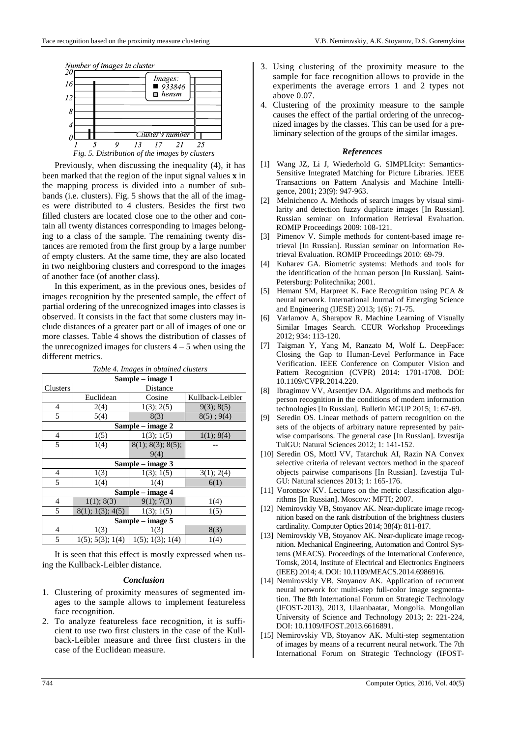

*Fig. 5. Distribution of the images by clusters* 

Previously, when discussing the inequality (4), it has been marked that the region of the input signal values **x** in the mapping process is divided into a number of subbands (i.e. clusters). Fig. 5 shows that the all of the images were distributed to 4 clusters. Besides the first two filled clusters are located close one to the other and contain all twenty distances corresponding to images belonging to a class of the sample. The remaining twenty distances are remoted from the first group by a large number of empty clusters. At the same time, they are also located in two neighboring clusters and correspond to the images of another face (of another class).

In this experiment, as in the previous ones, besides of images recognition by the presented sample, the effect of partial ordering of the unrecognized images into classes is observed. It consists in the fact that some clusters may include distances of a greater part or all of images of one or more classes. Table 4 shows the distribution of classes of the unrecognized images for clusters  $4 - 5$  when using the different metrics.

| Table 4. Images in obtained clusters |                     |                   |                  |  |  |  |
|--------------------------------------|---------------------|-------------------|------------------|--|--|--|
| Sample – image 1                     |                     |                   |                  |  |  |  |
| Clusters                             | Distance            |                   |                  |  |  |  |
|                                      | Euclidean           | Cosine            | Kullback-Leibler |  |  |  |
| $\overline{4}$                       | 2(4)                | 1(3); 2(5)        | 9(3); 8(5)       |  |  |  |
| 5                                    | 5(4)                | 8(3)              | $8(5)$ ; 9(4)    |  |  |  |
| Sample – image 2                     |                     |                   |                  |  |  |  |
| $\overline{4}$                       | 1(5)                | 1(3); 1(5)        | 1(1); 8(4)       |  |  |  |
| 5                                    | 1(4)                | 8(1); 8(3); 8(5); |                  |  |  |  |
|                                      |                     | 9(4)              |                  |  |  |  |
| Sample – image 3                     |                     |                   |                  |  |  |  |
| $\overline{4}$                       | 1(3)                | 1(3); 1(5)        | 3(1); 2(4)       |  |  |  |
| 5                                    | 1(4)                | 1(4)              | 6(1)             |  |  |  |
| Sample – image 4                     |                     |                   |                  |  |  |  |
| $\overline{4}$                       | 1(1); 8(3)          | 9(1); 7(3)        | 1(4)             |  |  |  |
| 5                                    | 8(1); 1(3); 4(5)    | 1(3); 1(5)        | 1(5)             |  |  |  |
| Sample – image 5                     |                     |                   |                  |  |  |  |
| $\overline{4}$                       | 1(3)                | 1(3)              | 8(3)             |  |  |  |
| 5                                    | $1(5)$ ; 5(3); 1(4) | 1(5); 1(3); 1(4)  | 1(4)             |  |  |  |

It is seen that this effect is mostly expressed when using the Kullback-Leibler distance.

## *Conclusion*

- 1. Clustering of proximity measures of segmented images to the sample allows to implement featureless face recognition.
- 2. To analyze featureless face recognition, it is sufficient to use two first clusters in the case of the Kullback-Leibler measure and three first clusters in the case of the Euclidean measure.
- 3. Using clustering of the proximity measure to the sample for face recognition allows to provide in the experiments the average errors 1 and 2 types not above 0.07.
- 4. Clustering of the proximity measure to the sample causes the effect of the partial ordering of the unrecognized images by the classes. This can be used for a preliminary selection of the groups of the similar images.

## *References*

- [1] Wang JZ, Li J, Wiederhold G. SIMPLIcity: Semantics-Sensitive Integrated Matching for Picture Libraries. IEEE Transactions on Pattern Analysis and Machine Intelligence, 2001; 23(9): 947-963.
- [2] Melnichenco A. Methods of search images by visual similarity and detection fuzzy duplicate images [In Russian]. Russian seminar on Information Retrieval Evaluation. ROMIP Proceedings 2009: 108-121.
- [3] Pimenov V. Simple methods for content-based image retrieval [In Russian]. Russian seminar on Information Retrieval Evaluation. ROMIP Proceedings 2010: 69-79.
- [4] Kuharev GA. Biometric systems: Methods and tools for the identification of the human person [In Russian]. Saint-Petersburg: Politechnika; 2001.
- [5] Hemant SM, Harpreet K. Face Recognition using PCA & neural network. International Journal of Emerging Science and Engineering (IJESE) 2013; 1(6): 71-75.
- [6] Varlamov A, Sharapov R. Machine Learning of Visually Similar Images Search. CEUR Workshop Proceedings 2012; 934: 113-120.
- [7] Taigman Y, Yang M, Ranzato M, Wolf L. DeepFace: Closing the Gap to Human-Level Performance in Face Verification. IEEE Conference on Computer Vision and Pattern Recognition (CVPR) 2014: 1701-1708. DOI: 10.1109/CVPR.2014.220.
- [8] Ibragimov VV, Arsentjev DA. Algorithms and methods for person recognition in the conditions of modern information technologies [In Russian]. Bulletin MGUP 2015; 1: 67-69.
- [9] Seredin OS. Linear methods of pattern recognition on the sets of the objects of arbitrary nature represented by pairwise comparisons. The general case [In Russian]. Izvestija TulGU: Natural Sciences 2012; 1: 141-152.
- [10] Seredin OS, Mottl VV, Tatarchuk AI, Razin NA Convex selective criteria of relevant vectors method in the spaceof objects pairwise comparisons [In Russian]. Izvestija Tul-GU: Natural sciences 2013; 1: 165-176.
- [11] Vorontsov KV. Lectures on the metric classification algorithms [In Russian]. Moscow: MFTI; 2007.
- [12] Nemirovskiy VB, Stoyanov AK. Near-duplicate image recognition based on the rank distribution of the brightness clusters cardinality. Computer Optics 2014; 38(4): 811-817.
- [13] Nemirovskiy VB, Stoyanov AK. Near-duplicate image recognition. Mechanical Engineering, Automation and Control Systems (MEACS). Proceedings of the International Conference, Tomsk, 2014, Institute of Electrical and Electronics Engineers (IEEE) 2014; 4. DOI: 10.1109/MEACS.2014.6986916.
- [14] Nemirovskiy VB, Stoyanov AK. Application of recurrent neural network for multi-step full-color image segmentation. The 8th International Forum on Strategic Technology (IFOST-2013), 2013, Ulaanbaatar, Mongolia. Mongolian University of Science and Technology 2013; 2: 221-224, DOI: 10.1109/IFOST.2013.6616891.
- [15] Nemirovskiy VB, Stoyanov AK. Multi-step segmentation of images by means of a recurrent neural network. The 7th International Forum on Strategic Technology (IFOST-